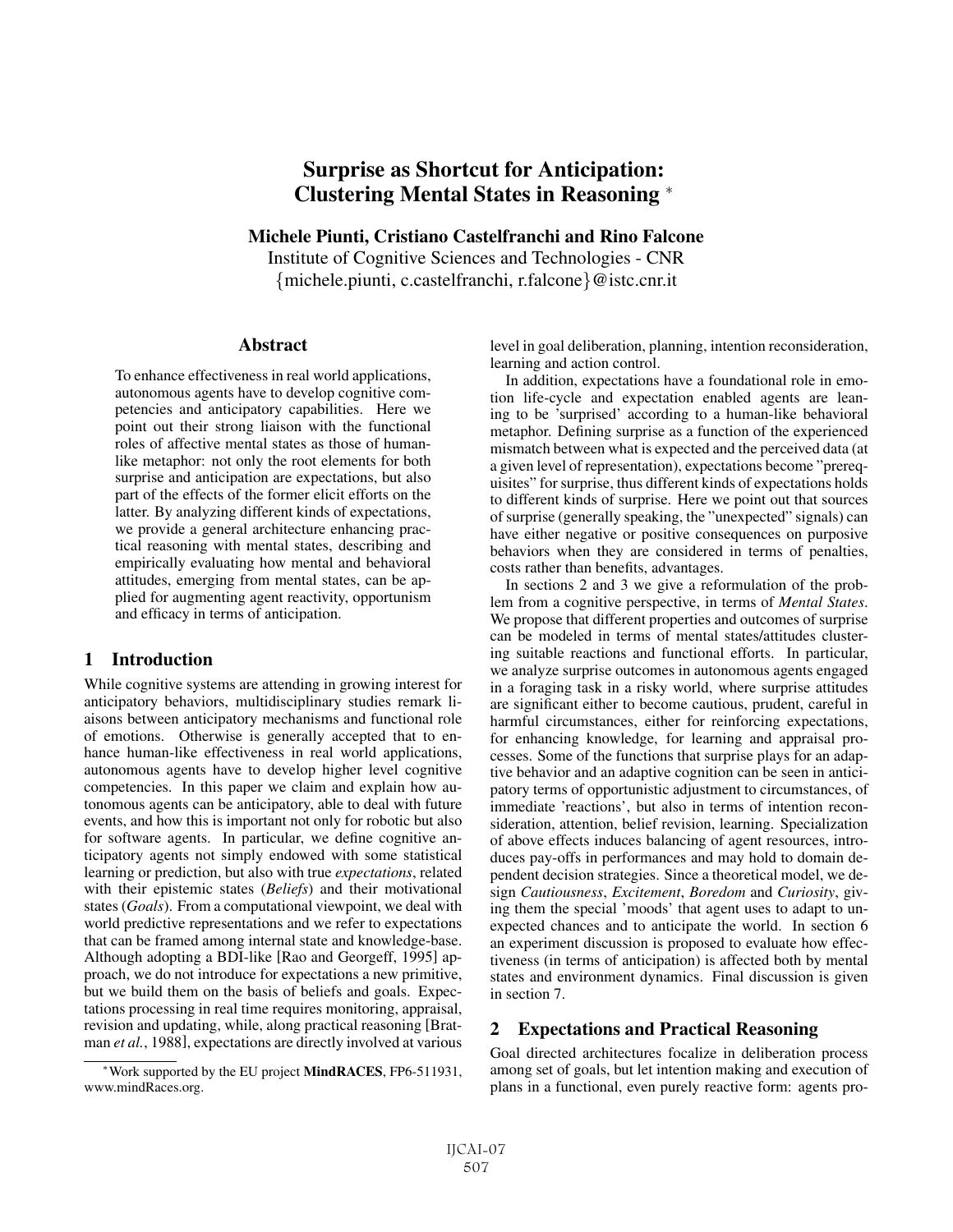# Surprise as Shortcut for Anticipation: Clustering Mental States in Reasoning <sup>∗</sup>

Michele Piunti, Cristiano Castelfranchi and Rino Falcone

Institute of Cognitive Sciences and Technologies - CNR {michele.piunti, c.castelfranchi, r.falcone}@istc.cnr.it

### Abstract

To enhance effectiveness in real world applications, autonomous agents have to develop cognitive competencies and anticipatory capabilities. Here we point out their strong liaison with the functional roles of affective mental states as those of humanlike metaphor: not only the root elements for both surprise and anticipation are expectations, but also part of the effects of the former elicit efforts on the latter. By analyzing different kinds of expectations, we provide a general architecture enhancing practical reasoning with mental states, describing and empirically evaluating how mental and behavioral attitudes, emerging from mental states, can be applied for augmenting agent reactivity, opportunism and efficacy in terms of anticipation.

### 1 Introduction

While cognitive systems are attending in growing interest for anticipatory behaviors, multidisciplinary studies remark liaisons between anticipatory mechanisms and functional role of emotions. Otherwise is generally accepted that to enhance human-like effectiveness in real world applications, autonomous agents have to develop higher level cognitive competencies. In this paper we claim and explain how autonomous agents can be anticipatory, able to deal with future events, and how this is important not only for robotic but also for software agents. In particular, we define cognitive anticipatory agents not simply endowed with some statistical learning or prediction, but also with true *expectations*, related with their epistemic states (*Beliefs*) and their motivational states (*Goals*). From a computational viewpoint, we deal with world predictive representations and we refer to expectations that can be framed among internal state and knowledge-base. Although adopting a BDI-like [Rao and Georgeff, 1995] approach, we do not introduce for expectations a new primitive, but we build them on the basis of beliefs and goals. Expectations processing in real time requires monitoring, appraisal, revision and updating, while, along practical reasoning [Bratman *et al.*, 1988], expectations are directly involved at various level in goal deliberation, planning, intention reconsideration, learning and action control.

In addition, expectations have a foundational role in emotion life-cycle and expectation enabled agents are leaning to be 'surprised' according to a human-like behavioral metaphor. Defining surprise as a function of the experienced mismatch between what is expected and the perceived data (at a given level of representation), expectations become "prerequisites" for surprise, thus different kinds of expectations holds to different kinds of surprise. Here we point out that sources of surprise (generally speaking, the "unexpected" signals) can have either negative or positive consequences on purposive behaviors when they are considered in terms of penalties, costs rather than benefits, advantages.

In sections 2 and 3 we give a reformulation of the problem from a cognitive perspective, in terms of *Mental States*. We propose that different properties and outcomes of surprise can be modeled in terms of mental states/attitudes clustering suitable reactions and functional efforts. In particular, we analyze surprise outcomes in autonomous agents engaged in a foraging task in a risky world, where surprise attitudes are significant either to become cautious, prudent, careful in harmful circumstances, either for reinforcing expectations, for enhancing knowledge, for learning and appraisal processes. Some of the functions that surprise plays for an adaptive behavior and an adaptive cognition can be seen in anticipatory terms of opportunistic adjustment to circumstances, of immediate 'reactions', but also in terms of intention reconsideration, attention, belief revision, learning. Specialization of above effects induces balancing of agent resources, introduces pay-offs in performances and may hold to domain dependent decision strategies. Since a theoretical model, we design *Cautiousness*, *Excitement*, *Boredom* and *Curiosity*, giving them the special 'moods' that agent uses to adapt to unexpected chances and to anticipate the world. In section 6 an experiment discussion is proposed to evaluate how effectiveness (in terms of anticipation) is affected both by mental states and environment dynamics. Final discussion is given in section 7.

### 2 Expectations and Practical Reasoning

Goal directed architectures focalize in deliberation process among set of goals, but let intention making and execution of plans in a functional, even purely reactive form: agents pro-

<sup>∗</sup>Work supported by the EU project MindRACES, FP6-511931, www.mindRaces.org.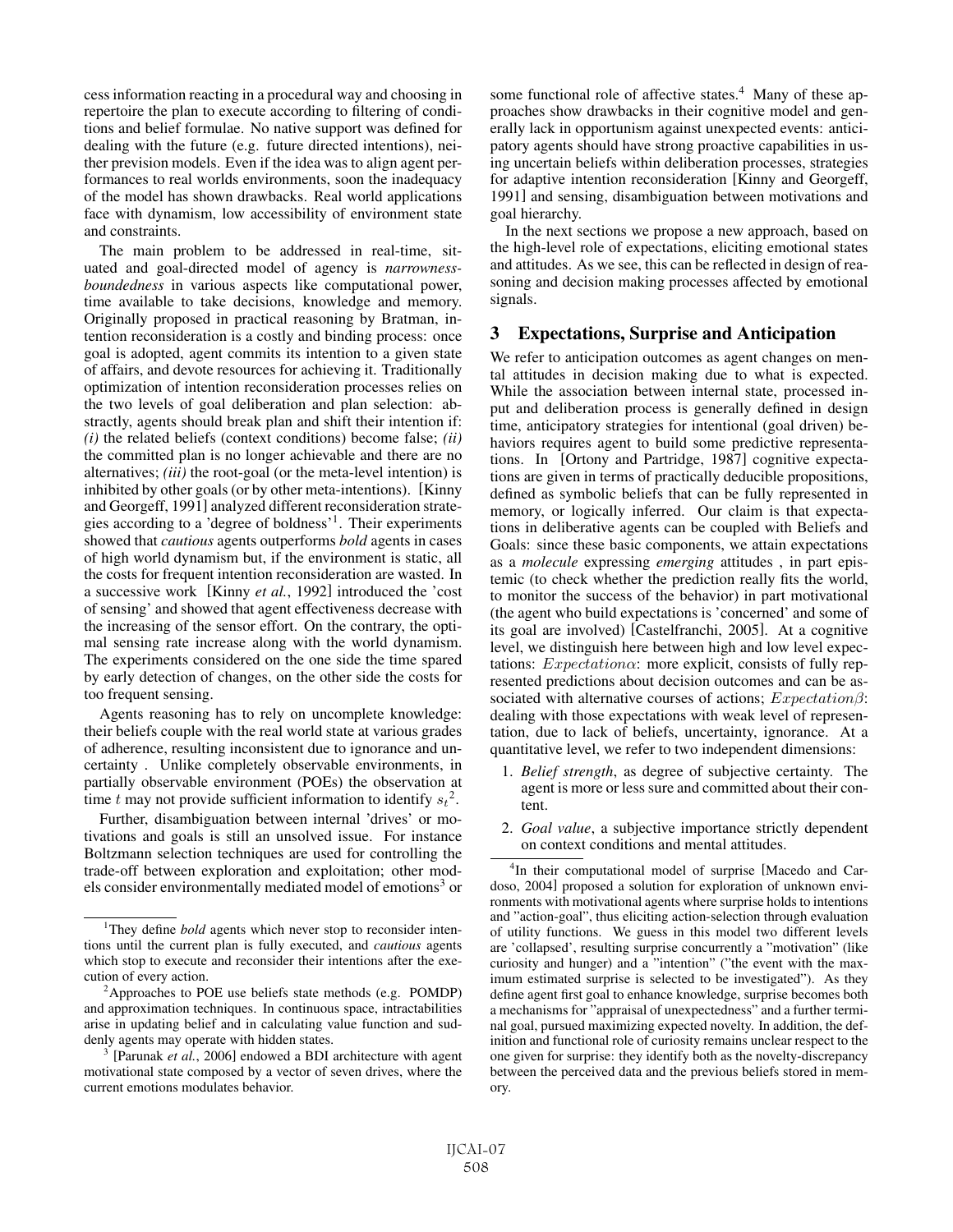cess information reacting in a procedural way and choosing in repertoire the plan to execute according to filtering of conditions and belief formulae. No native support was defined for dealing with the future (e.g. future directed intentions), neither prevision models. Even if the idea was to align agent performances to real worlds environments, soon the inadequacy of the model has shown drawbacks. Real world applications face with dynamism, low accessibility of environment state and constraints.

The main problem to be addressed in real-time, situated and goal-directed model of agency is *narrownessboundedness* in various aspects like computational power, time available to take decisions, knowledge and memory. Originally proposed in practical reasoning by Bratman, intention reconsideration is a costly and binding process: once goal is adopted, agent commits its intention to a given state of affairs, and devote resources for achieving it. Traditionally optimization of intention reconsideration processes relies on the two levels of goal deliberation and plan selection: abstractly, agents should break plan and shift their intention if: *(i)* the related beliefs (context conditions) become false; *(ii)* the committed plan is no longer achievable and there are no alternatives; *(iii)* the root-goal (or the meta-level intention) is inhibited by other goals (or by other meta-intentions). [Kinny and Georgeff, 1991] analyzed different reconsideration strategies according to a 'degree of boldness'1. Their experiments showed that *cautious* agents outperforms *bold* agents in cases of high world dynamism but, if the environment is static, all the costs for frequent intention reconsideration are wasted. In a successive work [Kinny *et al.*, 1992] introduced the 'cost of sensing' and showed that agent effectiveness decrease with the increasing of the sensor effort. On the contrary, the optimal sensing rate increase along with the world dynamism. The experiments considered on the one side the time spared by early detection of changes, on the other side the costs for too frequent sensing.

Agents reasoning has to rely on uncomplete knowledge: their beliefs couple with the real world state at various grades of adherence, resulting inconsistent due to ignorance and uncertainty . Unlike completely observable environments, in partially observable environment (POEs) the observation at time t may not provide sufficient information to identify  $s_t^2$ .

Further, disambiguation between internal 'drives' or motivations and goals is still an unsolved issue. For instance Boltzmann selection techniques are used for controlling the trade-off between exploration and exploitation; other models consider environmentally mediated model of emotions<sup>3</sup> or some functional role of affective states.<sup>4</sup> Many of these approaches show drawbacks in their cognitive model and generally lack in opportunism against unexpected events: anticipatory agents should have strong proactive capabilities in using uncertain beliefs within deliberation processes, strategies for adaptive intention reconsideration [Kinny and Georgeff, 1991] and sensing, disambiguation between motivations and goal hierarchy.

In the next sections we propose a new approach, based on the high-level role of expectations, eliciting emotional states and attitudes. As we see, this can be reflected in design of reasoning and decision making processes affected by emotional signals.

### 3 Expectations, Surprise and Anticipation

We refer to anticipation outcomes as agent changes on mental attitudes in decision making due to what is expected. While the association between internal state, processed input and deliberation process is generally defined in design time, anticipatory strategies for intentional (goal driven) behaviors requires agent to build some predictive representations. In [Ortony and Partridge, 1987] cognitive expectations are given in terms of practically deducible propositions, defined as symbolic beliefs that can be fully represented in memory, or logically inferred. Our claim is that expectations in deliberative agents can be coupled with Beliefs and Goals: since these basic components, we attain expectations as a *molecule* expressing *emerging* attitudes , in part epistemic (to check whether the prediction really fits the world, to monitor the success of the behavior) in part motivational (the agent who build expectations is 'concerned' and some of its goal are involved) [Castelfranchi, 2005]. At a cognitive level, we distinguish here between high and low level expectations:  $Expectation \alpha$ : more explicit, consists of fully represented predictions about decision outcomes and can be associated with alternative courses of actions;  $Expectation\beta$ : dealing with those expectations with weak level of representation, due to lack of beliefs, uncertainty, ignorance. At a quantitative level, we refer to two independent dimensions:

- 1. *Belief strength*, as degree of subjective certainty. The agent is more or less sure and committed about their content.
- 2. *Goal value*, a subjective importance strictly dependent on context conditions and mental attitudes.

<sup>&</sup>lt;sup>1</sup>They define *bold* agents which never stop to reconsider intentions until the current plan is fully executed, and *cautious* agents which stop to execute and reconsider their intentions after the execution of every action.

<sup>&</sup>lt;sup>2</sup>Approaches to POE use beliefs state methods (e.g. POMDP) and approximation techniques. In continuous space, intractabilities arise in updating belief and in calculating value function and suddenly agents may operate with hidden states.

<sup>[</sup>Parunak *et al.*, 2006] endowed a BDI architecture with agent motivational state composed by a vector of seven drives, where the current emotions modulates behavior.

<sup>4</sup> In their computational model of surprise [Macedo and Cardoso, 2004] proposed a solution for exploration of unknown environments with motivational agents where surprise holds to intentions and "action-goal", thus eliciting action-selection through evaluation of utility functions. We guess in this model two different levels are 'collapsed', resulting surprise concurrently a "motivation" (like curiosity and hunger) and a "intention" ("the event with the maximum estimated surprise is selected to be investigated"). As they define agent first goal to enhance knowledge, surprise becomes both a mechanisms for "appraisal of unexpectedness" and a further terminal goal, pursued maximizing expected novelty. In addition, the definition and functional role of curiosity remains unclear respect to the one given for surprise: they identify both as the novelty-discrepancy between the perceived data and the previous beliefs stored in memory.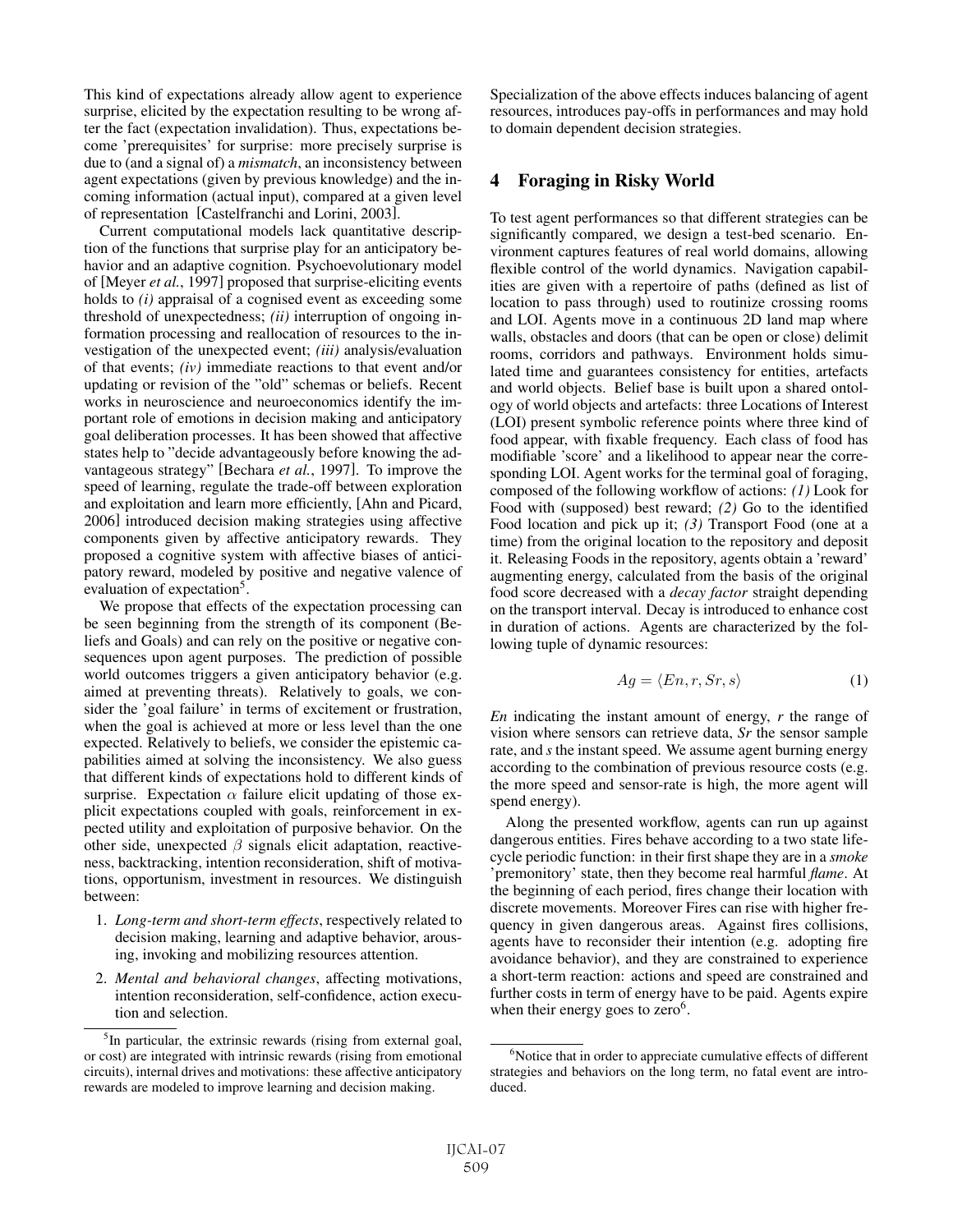This kind of expectations already allow agent to experience surprise, elicited by the expectation resulting to be wrong after the fact (expectation invalidation). Thus, expectations become 'prerequisites' for surprise: more precisely surprise is due to (and a signal of) a *mismatch*, an inconsistency between agent expectations (given by previous knowledge) and the incoming information (actual input), compared at a given level of representation [Castelfranchi and Lorini, 2003].

Current computational models lack quantitative description of the functions that surprise play for an anticipatory behavior and an adaptive cognition. Psychoevolutionary model of [Meyer *et al.*, 1997] proposed that surprise-eliciting events holds to *(i)* appraisal of a cognised event as exceeding some threshold of unexpectedness; *(ii)* interruption of ongoing information processing and reallocation of resources to the investigation of the unexpected event; *(iii)* analysis/evaluation of that events; *(iv)* immediate reactions to that event and/or updating or revision of the "old" schemas or beliefs. Recent works in neuroscience and neuroeconomics identify the important role of emotions in decision making and anticipatory goal deliberation processes. It has been showed that affective states help to "decide advantageously before knowing the advantageous strategy" [Bechara *et al.*, 1997]. To improve the speed of learning, regulate the trade-off between exploration and exploitation and learn more efficiently, [Ahn and Picard, 2006] introduced decision making strategies using affective components given by affective anticipatory rewards. They proposed a cognitive system with affective biases of anticipatory reward, modeled by positive and negative valence of evaluation of expectation<sup>5</sup>.

We propose that effects of the expectation processing can be seen beginning from the strength of its component (Beliefs and Goals) and can rely on the positive or negative consequences upon agent purposes. The prediction of possible world outcomes triggers a given anticipatory behavior (e.g. aimed at preventing threats). Relatively to goals, we consider the 'goal failure' in terms of excitement or frustration, when the goal is achieved at more or less level than the one expected. Relatively to beliefs, we consider the epistemic capabilities aimed at solving the inconsistency. We also guess that different kinds of expectations hold to different kinds of surprise. Expectation  $\alpha$  failure elicit updating of those explicit expectations coupled with goals, reinforcement in expected utility and exploitation of purposive behavior. On the other side, unexpected  $\beta$  signals elicit adaptation, reactiveness, backtracking, intention reconsideration, shift of motivations, opportunism, investment in resources. We distinguish between:

- 1. *Long-term and short-term effects*, respectively related to decision making, learning and adaptive behavior, arousing, invoking and mobilizing resources attention.
- 2. *Mental and behavioral changes*, affecting motivations, intention reconsideration, self-confidence, action execution and selection.

Specialization of the above effects induces balancing of agent resources, introduces pay-offs in performances and may hold to domain dependent decision strategies.

### 4 Foraging in Risky World

To test agent performances so that different strategies can be significantly compared, we design a test-bed scenario. Environment captures features of real world domains, allowing flexible control of the world dynamics. Navigation capabilities are given with a repertoire of paths (defined as list of location to pass through) used to routinize crossing rooms and LOI. Agents move in a continuous 2D land map where walls, obstacles and doors (that can be open or close) delimit rooms, corridors and pathways. Environment holds simulated time and guarantees consistency for entities, artefacts and world objects. Belief base is built upon a shared ontology of world objects and artefacts: three Locations of Interest (LOI) present symbolic reference points where three kind of food appear, with fixable frequency. Each class of food has modifiable 'score' and a likelihood to appear near the corresponding LOI. Agent works for the terminal goal of foraging, composed of the following workflow of actions: *(1)* Look for Food with (supposed) best reward; *(2)* Go to the identified Food location and pick up it; *(3)* Transport Food (one at a time) from the original location to the repository and deposit it. Releasing Foods in the repository, agents obtain a 'reward' augmenting energy, calculated from the basis of the original food score decreased with a *decay factor* straight depending on the transport interval. Decay is introduced to enhance cost in duration of actions. Agents are characterized by the following tuple of dynamic resources:

$$
Ag = \langle En, r, Sr, s \rangle \tag{1}
$$

*En* indicating the instant amount of energy, *r* the range of vision where sensors can retrieve data, *Sr* the sensor sample rate, and *s* the instant speed. We assume agent burning energy according to the combination of previous resource costs (e.g. the more speed and sensor-rate is high, the more agent will spend energy).

Along the presented workflow, agents can run up against dangerous entities. Fires behave according to a two state lifecycle periodic function: in their first shape they are in a *smoke* 'premonitory' state, then they become real harmful *flame*. At the beginning of each period, fires change their location with discrete movements. Moreover Fires can rise with higher frequency in given dangerous areas. Against fires collisions, agents have to reconsider their intention (e.g. adopting fire avoidance behavior), and they are constrained to experience a short-term reaction: actions and speed are constrained and further costs in term of energy have to be paid. Agents expire when their energy goes to  $zero<sup>6</sup>$ .

<sup>&</sup>lt;sup>5</sup>In particular, the extrinsic rewards (rising from external goal, or cost) are integrated with intrinsic rewards (rising from emotional circuits), internal drives and motivations: these affective anticipatory rewards are modeled to improve learning and decision making.

<sup>&</sup>lt;sup>6</sup>Notice that in order to appreciate cumulative effects of different strategies and behaviors on the long term, no fatal event are introduced.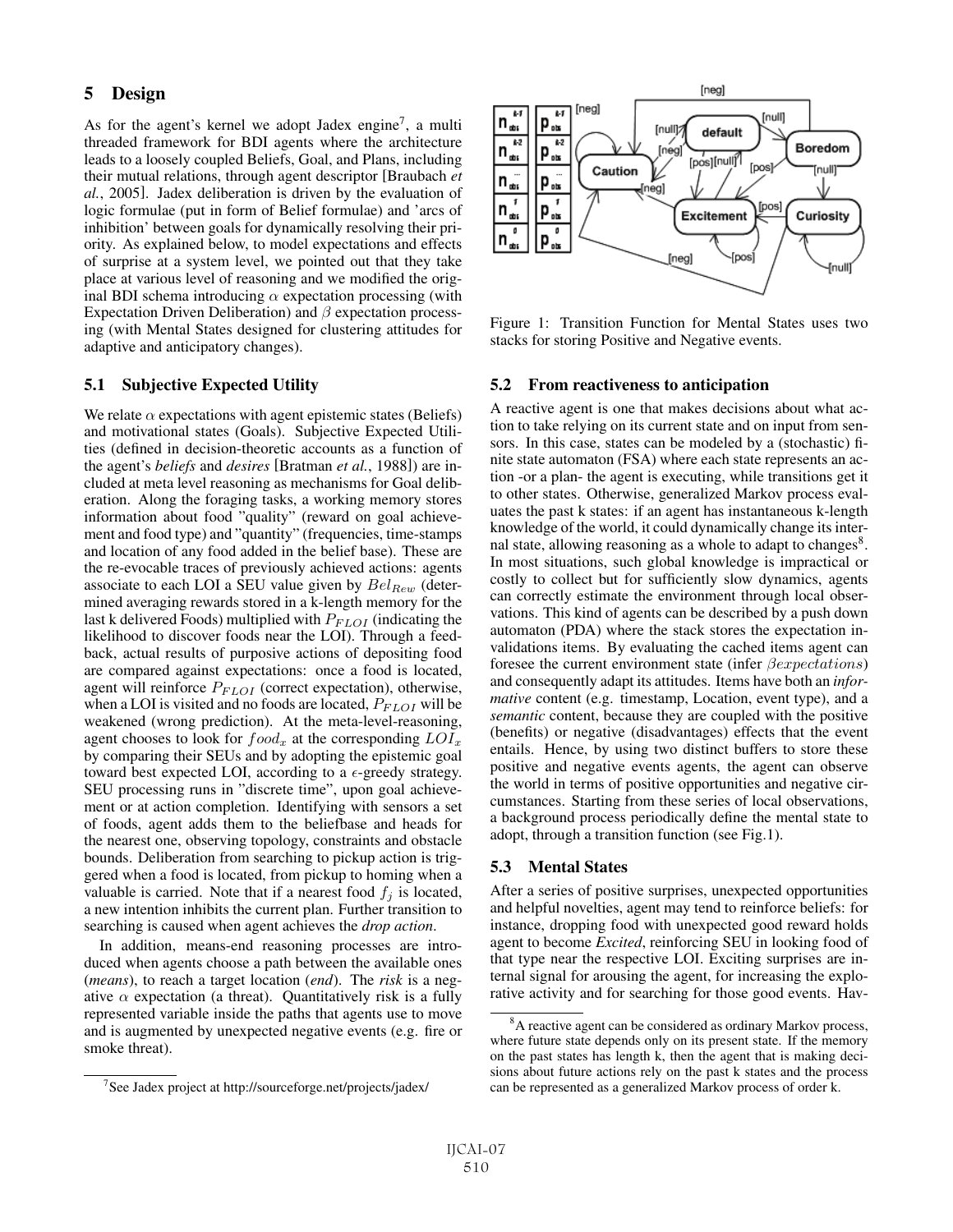### 5 Design

As for the agent's kernel we adopt Jadex engine<sup>7</sup>, a multi threaded framework for BDI agents where the architecture leads to a loosely coupled Beliefs, Goal, and Plans, including their mutual relations, through agent descriptor [Braubach *et al.*, 2005]. Jadex deliberation is driven by the evaluation of logic formulae (put in form of Belief formulae) and 'arcs of inhibition' between goals for dynamically resolving their priority. As explained below, to model expectations and effects of surprise at a system level, we pointed out that they take place at various level of reasoning and we modified the original BDI schema introducing  $\alpha$  expectation processing (with Expectation Driven Deliberation) and  $\beta$  expectation processing (with Mental States designed for clustering attitudes for adaptive and anticipatory changes).

#### 5.1 Subjective Expected Utility

We relate  $\alpha$  expectations with agent epistemic states (Beliefs) and motivational states (Goals). Subjective Expected Utilities (defined in decision-theoretic accounts as a function of the agent's *beliefs* and *desires* [Bratman *et al.*, 1988]) are included at meta level reasoning as mechanisms for Goal deliberation. Along the foraging tasks, a working memory stores information about food "quality" (reward on goal achievement and food type) and "quantity" (frequencies, time-stamps and location of any food added in the belief base). These are the re-evocable traces of previously achieved actions: agents associate to each LOI a SEU value given by  $Bel_{Rew}$  (determined averaging rewards stored in a k-length memory for the last k delivered Foods) multiplied with  $P_{FLOI}$  (indicating the likelihood to discover foods near the LOI). Through a feedback, actual results of purposive actions of depositing food are compared against expectations: once a food is located, agent will reinforce  $P_{FLOI}$  (correct expectation), otherwise, when a LOI is visited and no foods are located,  $P_{FLOI}$  will be weakened (wrong prediction). At the meta-level-reasoning, agent chooses to look for  $food_x$  at the corresponding  $LOI_x$ by comparing their SEUs and by adopting the epistemic goal toward best expected LOI, according to a  $\epsilon$ -greedy strategy. SEU processing runs in "discrete time", upon goal achievement or at action completion. Identifying with sensors a set of foods, agent adds them to the beliefbase and heads for the nearest one, observing topology, constraints and obstacle bounds. Deliberation from searching to pickup action is triggered when a food is located, from pickup to homing when a valuable is carried. Note that if a nearest food  $f_j$  is located, a new intention inhibits the current plan. Further transition to searching is caused when agent achieves the *drop action*.

In addition, means-end reasoning processes are introduced when agents choose a path between the available ones (*means*), to reach a target location (*end*). The *risk* is a negative  $\alpha$  expectation (a threat). Quantitatively risk is a fully represented variable inside the paths that agents use to move and is augmented by unexpected negative events (e.g. fire or smoke threat).



Figure 1: Transition Function for Mental States uses two stacks for storing Positive and Negative events.

#### 5.2 From reactiveness to anticipation

A reactive agent is one that makes decisions about what action to take relying on its current state and on input from sensors. In this case, states can be modeled by a (stochastic) finite state automaton (FSA) where each state represents an action -or a plan- the agent is executing, while transitions get it to other states. Otherwise, generalized Markov process evaluates the past k states: if an agent has instantaneous k-length knowledge of the world, it could dynamically change its internal state, allowing reasoning as a whole to adapt to changes<sup>8</sup>. In most situations, such global knowledge is impractical or costly to collect but for sufficiently slow dynamics, agents can correctly estimate the environment through local observations. This kind of agents can be described by a push down automaton (PDA) where the stack stores the expectation invalidations items. By evaluating the cached items agent can foresee the current environment state (infer βexpectations) and consequently adapt its attitudes. Items have both an *informative* content (e.g. timestamp, Location, event type), and a *semantic* content, because they are coupled with the positive (benefits) or negative (disadvantages) effects that the event entails. Hence, by using two distinct buffers to store these positive and negative events agents, the agent can observe the world in terms of positive opportunities and negative circumstances. Starting from these series of local observations, a background process periodically define the mental state to adopt, through a transition function (see Fig.1).

#### 5.3 Mental States

After a series of positive surprises, unexpected opportunities and helpful novelties, agent may tend to reinforce beliefs: for instance, dropping food with unexpected good reward holds agent to become *Excited*, reinforcing SEU in looking food of that type near the respective LOI. Exciting surprises are internal signal for arousing the agent, for increasing the explorative activity and for searching for those good events. Hav-

<sup>&</sup>lt;sup>7</sup>See Jadex project at http://sourceforge.net/projects/jadex/

<sup>&</sup>lt;sup>8</sup>A reactive agent can be considered as ordinary Markov process, where future state depends only on its present state. If the memory on the past states has length k, then the agent that is making decisions about future actions rely on the past k states and the process can be represented as a generalized Markov process of order k.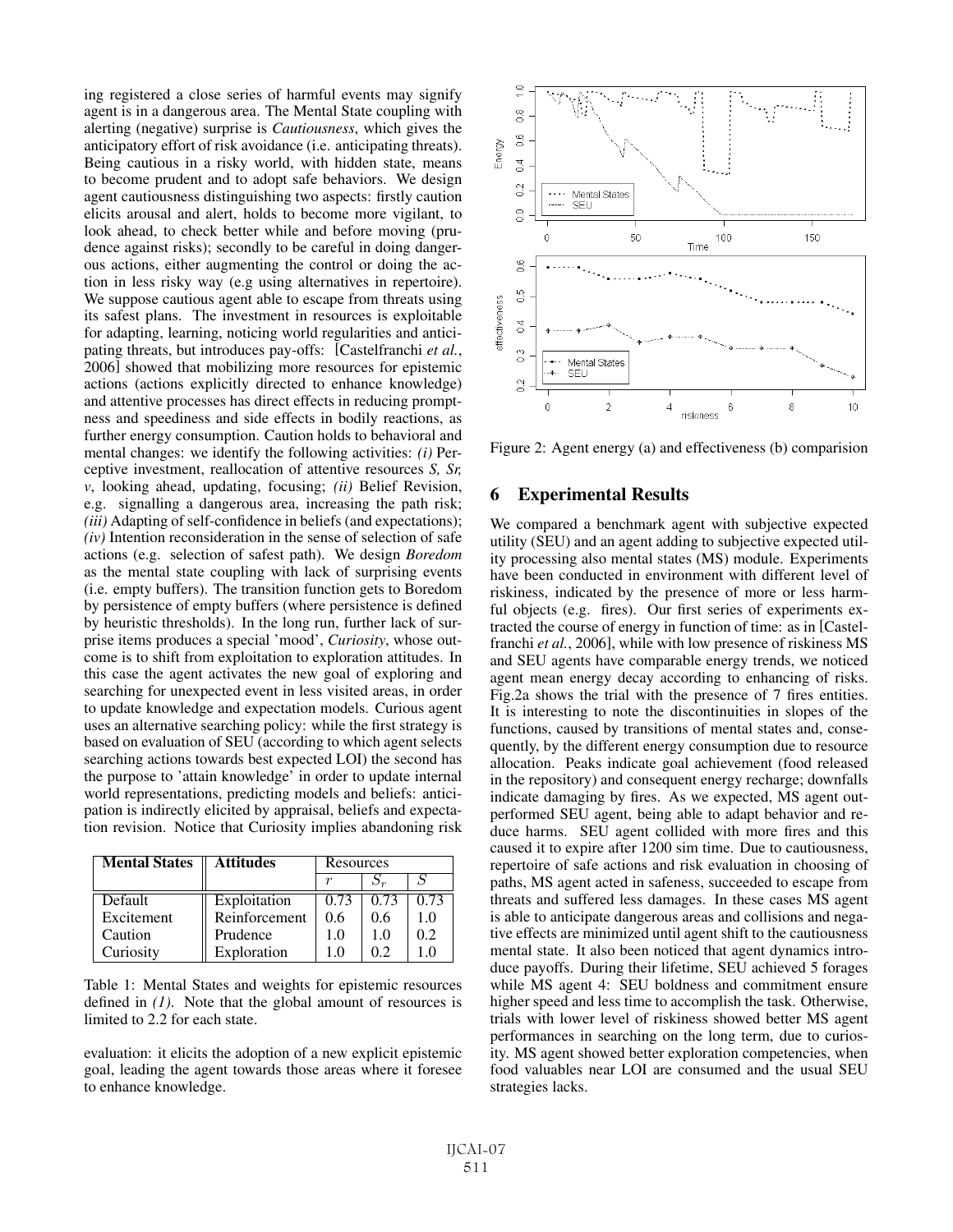ing registered a close series of harmful events may signify agent is in a dangerous area. The Mental State coupling with alerting (negative) surprise is *Cautiousness*, which gives the anticipatory effort of risk avoidance (i.e. anticipating threats). Being cautious in a risky world, with hidden state, means to become prudent and to adopt safe behaviors. We design agent cautiousness distinguishing two aspects: firstly caution elicits arousal and alert, holds to become more vigilant, to look ahead, to check better while and before moving (prudence against risks); secondly to be careful in doing dangerous actions, either augmenting the control or doing the action in less risky way (e.g using alternatives in repertoire). We suppose cautious agent able to escape from threats using its safest plans. The investment in resources is exploitable for adapting, learning, noticing world regularities and anticipating threats, but introduces pay-offs: [Castelfranchi *et al.*, 2006] showed that mobilizing more resources for epistemic actions (actions explicitly directed to enhance knowledge) and attentive processes has direct effects in reducing promptness and speediness and side effects in bodily reactions, as further energy consumption. Caution holds to behavioral and mental changes: we identify the following activities: *(i)* Perceptive investment, reallocation of attentive resources *S, Sr, v*, looking ahead, updating, focusing; *(ii)* Belief Revision, e.g. signalling a dangerous area, increasing the path risk; *(iii)* Adapting of self-confidence in beliefs (and expectations); *(iv)* Intention reconsideration in the sense of selection of safe actions (e.g. selection of safest path). We design *Boredom* as the mental state coupling with lack of surprising events (i.e. empty buffers). The transition function gets to Boredom by persistence of empty buffers (where persistence is defined by heuristic thresholds). In the long run, further lack of surprise items produces a special 'mood', *Curiosity*, whose outcome is to shift from exploitation to exploration attitudes. In this case the agent activates the new goal of exploring and searching for unexpected event in less visited areas, in order to update knowledge and expectation models. Curious agent uses an alternative searching policy: while the first strategy is based on evaluation of SEU (according to which agent selects searching actions towards best expected LOI) the second has the purpose to 'attain knowledge' in order to update internal world representations, predicting models and beliefs: anticipation is indirectly elicited by appraisal, beliefs and expectation revision. Notice that Curiosity implies abandoning risk

| <b>Mental States</b> | <b>Attitudes</b> | Resources |      |      |
|----------------------|------------------|-----------|------|------|
|                      |                  |           |      |      |
| Default              | Exploitation     | 0.73      | 0.73 | 0.73 |
| Excitement           | Reinforcement    | 0.6       | 0.6  | 1.0  |
| Caution              | Prudence         | 10        | 10   | 0.2  |
| Curiosity            | Exploration      |           | ሰ ን  |      |

Table 1: Mental States and weights for epistemic resources defined in *(1)*. Note that the global amount of resources is limited to 2.2 for each state.

evaluation: it elicits the adoption of a new explicit epistemic goal, leading the agent towards those areas where it foresee to enhance knowledge.



Figure 2: Agent energy (a) and effectiveness (b) comparision

### 6 Experimental Results

We compared a benchmark agent with subjective expected utility (SEU) and an agent adding to subjective expected utility processing also mental states (MS) module. Experiments have been conducted in environment with different level of riskiness, indicated by the presence of more or less harmful objects (e.g. fires). Our first series of experiments extracted the course of energy in function of time: as in [Castelfranchi *et al.*, 2006], while with low presence of riskiness MS and SEU agents have comparable energy trends, we noticed agent mean energy decay according to enhancing of risks. Fig.2a shows the trial with the presence of 7 fires entities. It is interesting to note the discontinuities in slopes of the functions, caused by transitions of mental states and, consequently, by the different energy consumption due to resource allocation. Peaks indicate goal achievement (food released in the repository) and consequent energy recharge; downfalls indicate damaging by fires. As we expected, MS agent outperformed SEU agent, being able to adapt behavior and reduce harms. SEU agent collided with more fires and this caused it to expire after 1200 sim time. Due to cautiousness, repertoire of safe actions and risk evaluation in choosing of paths, MS agent acted in safeness, succeeded to escape from threats and suffered less damages. In these cases MS agent is able to anticipate dangerous areas and collisions and negative effects are minimized until agent shift to the cautiousness mental state. It also been noticed that agent dynamics introduce payoffs. During their lifetime, SEU achieved 5 forages while MS agent 4: SEU boldness and commitment ensure higher speed and less time to accomplish the task. Otherwise, trials with lower level of riskiness showed better MS agent performances in searching on the long term, due to curiosity. MS agent showed better exploration competencies, when food valuables near LOI are consumed and the usual SEU strategies lacks.